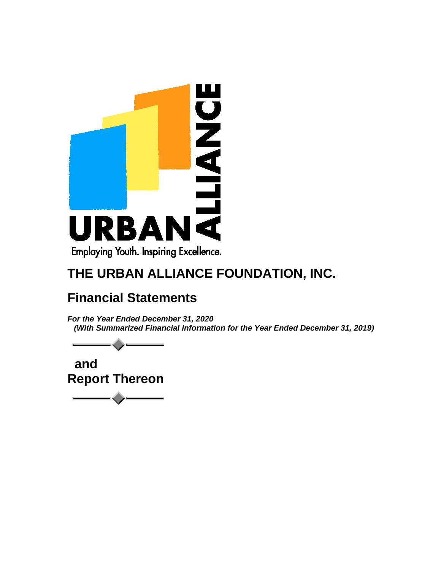

# **Financial Statements**

*For the Year Ended December 31, 2020 (With Summarized Financial Information for the Year Ended December 31, 2019)*

 **and Report Thereon**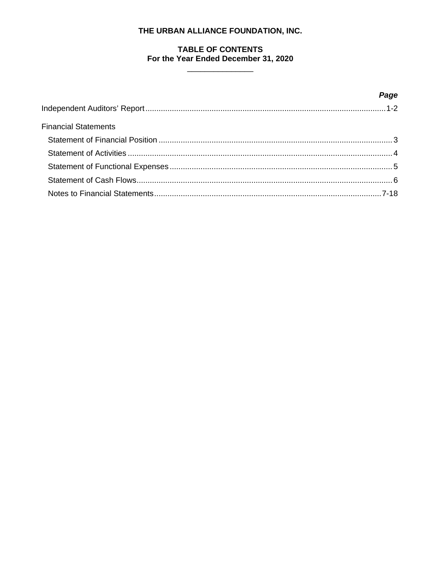# **TABLE OF CONTENTS** For the Year Ended December 31, 2020

 $\overline{a}$ 

|                             | Page |
|-----------------------------|------|
|                             |      |
| <b>Financial Statements</b> |      |
|                             |      |
|                             |      |
|                             |      |
|                             |      |
|                             |      |
|                             |      |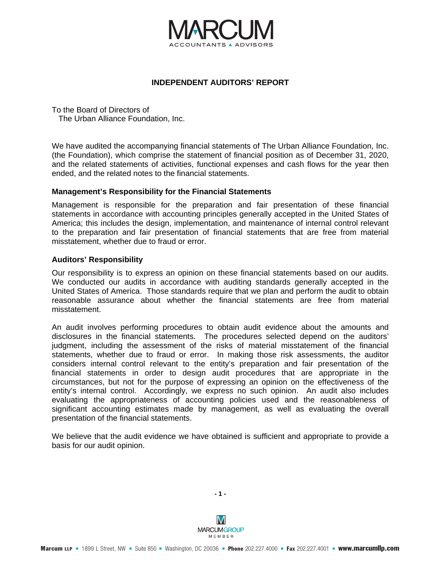

#### **INDEPENDENT AUDITORS' REPORT**

To the Board of Directors of The Urban Alliance Foundation, Inc.

We have audited the accompanying financial statements of The Urban Alliance Foundation, Inc. (the Foundation), which comprise the statement of financial position as of December 31, 2020, and the related statements of activities, functional expenses and cash flows for the year then ended, and the related notes to the financial statements.

#### **Management's Responsibility for the Financial Statements**

Management is responsible for the preparation and fair presentation of these financial statements in accordance with accounting principles generally accepted in the United States of America; this includes the design, implementation, and maintenance of internal control relevant to the preparation and fair presentation of financial statements that are free from material misstatement, whether due to fraud or error.

#### **Auditors' Responsibility**

Our responsibility is to express an opinion on these financial statements based on our audits. We conducted our audits in accordance with auditing standards generally accepted in the United States of America. Those standards require that we plan and perform the audit to obtain reasonable assurance about whether the financial statements are free from material misstatement.

An audit involves performing procedures to obtain audit evidence about the amounts and disclosures in the financial statements. The procedures selected depend on the auditors' iudament. including the assessment of the risks of material misstatement of the financial statements, whether due to fraud or error. In making those risk assessments, the auditor considers internal control relevant to the entity's preparation and fair presentation of the financial statements in order to design audit procedures that are appropriate in the circumstances, but not for the purpose of expressing an opinion on the effectiveness of the entity's internal control. Accordingly, we express no such opinion. An audit also includes evaluating the appropriateness of accounting policies used and the reasonableness of significant accounting estimates made by management, as well as evaluating the overall presentation of the financial statements.

We believe that the audit evidence we have obtained is sufficient and appropriate to provide a basis for our audit opinion.



M **MARCUMGROUP** MEMBER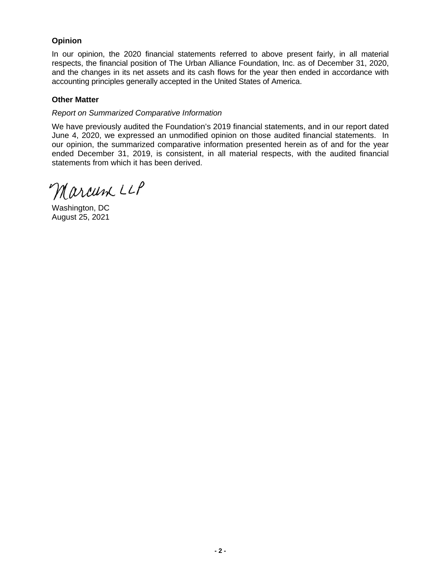### **Opinion**

In our opinion, the 2020 financial statements referred to above present fairly, in all material respects, the financial position of The Urban Alliance Foundation, Inc. as of December 31, 2020, and the changes in its net assets and its cash flows for the year then ended in accordance with accounting principles generally accepted in the United States of America.

#### **Other Matter**

#### *Report on Summarized Comparative Information*

We have previously audited the Foundation's 2019 financial statements, and in our report dated June 4, 2020, we expressed an unmodified opinion on those audited financial statements. In our opinion, the summarized comparative information presented herein as of and for the year ended December 31, 2019, is consistent, in all material respects, with the audited financial statements from which it has been derived.

Marcum LLP

Washington, DC August 25, 2021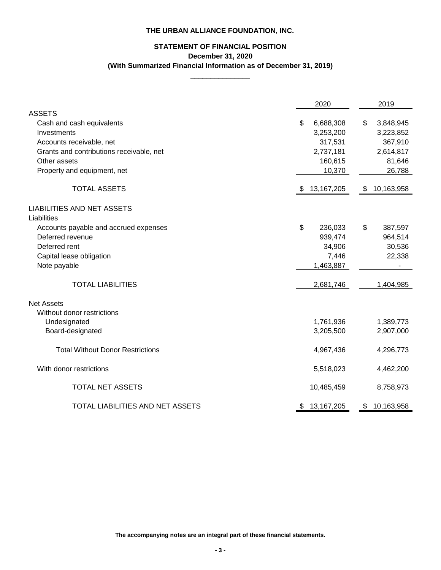## **STATEMENT OF FINANCIAL POSITION December 31, 2020 (With Summarized Financial Information as of December 31, 2019)**

 $\overline{\phantom{a}}$  , where  $\overline{\phantom{a}}$ 

|                                          | 2020             | 2019             |
|------------------------------------------|------------------|------------------|
| <b>ASSETS</b>                            |                  |                  |
| Cash and cash equivalents                | \$<br>6,688,308  | \$<br>3,848,945  |
| Investments                              | 3,253,200        | 3,223,852        |
| Accounts receivable, net                 | 317,531          | 367,910          |
| Grants and contributions receivable, net | 2,737,181        | 2,614,817        |
| Other assets                             | 160,615          | 81,646           |
| Property and equipment, net              | 10,370           | 26,788           |
| <b>TOTAL ASSETS</b>                      | 13,167,205<br>\$ | 10,163,958<br>\$ |
| <b>LIABILITIES AND NET ASSETS</b>        |                  |                  |
| Liabilities                              |                  |                  |
| Accounts payable and accrued expenses    | \$<br>236,033    | \$<br>387,597    |
| Deferred revenue                         | 939,474          | 964,514          |
| Deferred rent                            | 34,906           | 30,536           |
| Capital lease obligation                 | 7,446            | 22,338           |
| Note payable                             | 1,463,887        |                  |
| <b>TOTAL LIABILITIES</b>                 | 2,681,746        | 1,404,985        |
| <b>Net Assets</b>                        |                  |                  |
| Without donor restrictions               |                  |                  |
| Undesignated                             | 1,761,936        | 1,389,773        |
| Board-designated                         | 3,205,500        | 2,907,000        |
| <b>Total Without Donor Restrictions</b>  | 4,967,436        | 4,296,773        |
| With donor restrictions                  | 5,518,023        | 4,462,200        |
| <b>TOTAL NET ASSETS</b>                  | 10,485,459       | 8,758,973        |
| TOTAL LIABILITIES AND NET ASSETS         | 13,167,205<br>\$ | 10,163,958<br>\$ |

**The accompanying notes are an integral part of these financial statements.**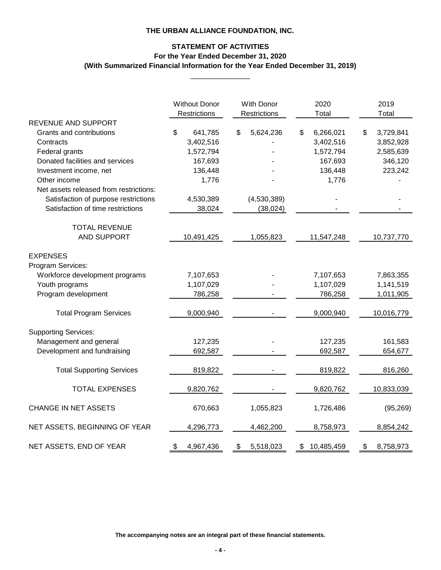# **STATEMENT OF ACTIVITIES For the Year Ended December 31, 2020 (With Summarized Financial Information for the Year Ended December 31, 2019)**

\_\_\_\_\_\_\_\_\_\_\_\_\_\_\_

|                                        | <b>Without Donor</b><br>Restrictions | <b>With Donor</b><br>Restrictions | 2020<br>Total   | 2019<br>Total   |
|----------------------------------------|--------------------------------------|-----------------------------------|-----------------|-----------------|
| <b>REVENUE AND SUPPORT</b>             |                                      |                                   |                 |                 |
| <b>Grants and contributions</b>        | \$<br>641,785                        | $\mathfrak{S}$<br>5,624,236       | 6,266,021<br>\$ | 3,729,841<br>\$ |
| Contracts                              | 3,402,516                            |                                   | 3,402,516       | 3,852,928       |
| Federal grants                         | 1,572,794                            |                                   | 1,572,794       | 2,585,639       |
| Donated facilities and services        | 167,693                              |                                   | 167,693         | 346,120         |
| Investment income, net                 | 136,448                              |                                   | 136,448         | 223,242         |
| Other income                           | 1,776                                |                                   | 1,776           |                 |
| Net assets released from restrictions: |                                      |                                   |                 |                 |
| Satisfaction of purpose restrictions   | 4,530,389                            | (4,530,389)                       |                 |                 |
| Satisfaction of time restrictions      | 38,024                               | (38, 024)                         |                 |                 |
| <b>TOTAL REVENUE</b>                   |                                      |                                   |                 |                 |
| <b>AND SUPPORT</b>                     | 10,491,425                           | 1,055,823                         | 11,547,248      | 10,737,770      |
| <b>EXPENSES</b>                        |                                      |                                   |                 |                 |
| Program Services:                      |                                      |                                   |                 |                 |
| Workforce development programs         | 7,107,653                            |                                   | 7,107,653       | 7,863,355       |
| Youth programs                         | 1,107,029                            |                                   | 1,107,029       | 1,141,519       |
| Program development                    | 786,258                              |                                   | 786,258         | 1,011,905       |
| <b>Total Program Services</b>          | 9,000,940                            |                                   | 9,000,940       | 10,016,779      |
| <b>Supporting Services:</b>            |                                      |                                   |                 |                 |
| Management and general                 | 127,235                              |                                   | 127,235         | 161,583         |
| Development and fundraising            | 692,587                              |                                   | 692,587         | 654,677         |
| <b>Total Supporting Services</b>       | 819,822                              |                                   | 819,822         | 816,260         |
| TOTAL EXPENSES                         | 9,820,762                            |                                   | 9,820,762       | 10,833,039      |
| <b>CHANGE IN NET ASSETS</b>            | 670,663                              | 1,055,823                         | 1,726,486       | (95, 269)       |
|                                        |                                      |                                   |                 |                 |
| NET ASSETS, BEGINNING OF YEAR          | 4,296,773                            | 4,462,200                         | 8,758,973       | 8,854,242       |
| NET ASSETS, END OF YEAR                | 4,967,436<br>\$                      | 5,518,023<br>\$                   | \$10,485,459    | 8,758,973<br>\$ |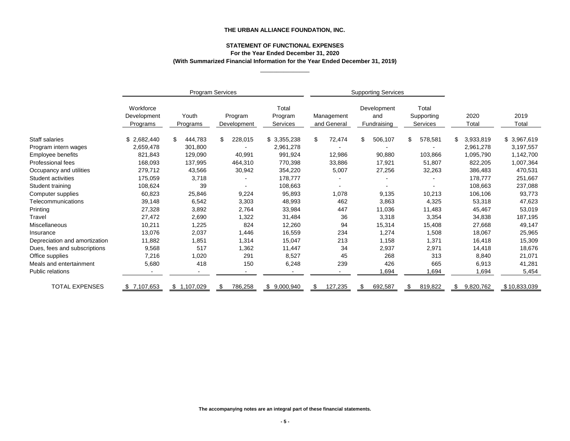# **STATEMENT OF FUNCTIONAL EXPENSES**

**For the Year Ended December 31, 2020 (With Summarized Financial Information for the Year Ended December 31, 2019)**

 $\overline{\phantom{a}}$  , where  $\overline{\phantom{a}}$ 

|                               |                                      |                   | <b>Program Services</b> |                              | <b>Supporting Services</b> |                                   |                                 |                 |               |
|-------------------------------|--------------------------------------|-------------------|-------------------------|------------------------------|----------------------------|-----------------------------------|---------------------------------|-----------------|---------------|
|                               | Workforce<br>Development<br>Programs | Youth<br>Programs | Program<br>Development  | Total<br>Program<br>Services | Management<br>and General  | Development<br>and<br>Fundraising | Total<br>Supporting<br>Services | 2020<br>Total   | 2019<br>Total |
| <b>Staff salaries</b>         | \$2,682,440                          | 444,783<br>\$     | 228,015<br>\$           | \$3,355,238                  | 72,474<br>\$               | \$<br>506,107                     | \$<br>578,581                   | 3,933,819<br>\$ | \$3,967,619   |
| Program intern wages          | 2,659,478                            | 301,800           |                         | 2,961,278                    |                            |                                   |                                 | 2,961,278       | 3,197,557     |
| Employee benefits             | 821,843                              | 129,090           | 40,991                  | 991,924                      | 12,986                     | 90,880                            | 103,866                         | 1,095,790       | 1,142,700     |
| Professional fees             | 168,093                              | 137,995           | 464,310                 | 770,398                      | 33,886                     | 17,921                            | 51,807                          | 822,205         | 1,007,364     |
| Occupancy and utilities       | 279,712                              | 43,566            | 30,942                  | 354,220                      | 5,007                      | 27,256                            | 32,263                          | 386,483         | 470,531       |
| Student activities            | 175,059                              | 3,718             |                         | 178,777                      |                            |                                   |                                 | 178,777         | 251,667       |
| Student training              | 108,624                              | 39                |                         | 108,663                      |                            |                                   |                                 | 108,663         | 237,088       |
| Computer supplies             | 60,823                               | 25,846            | 9,224                   | 95,893                       | 1,078                      | 9,135                             | 10,213                          | 106,106         | 93,773        |
| <b>Telecommunications</b>     | 39,148                               | 6,542             | 3,303                   | 48,993                       | 462                        | 3,863                             | 4,325                           | 53,318          | 47,623        |
| Printing                      | 27,328                               | 3,892             | 2,764                   | 33,984                       | 447                        | 11,036                            | 11,483                          | 45,467          | 53,019        |
| Travel                        | 27,472                               | 2,690             | 1,322                   | 31,484                       | 36                         | 3,318                             | 3,354                           | 34,838          | 187,195       |
| Miscellaneous                 | 10,211                               | 1,225             | 824                     | 12,260                       | 94                         | 15,314                            | 15,408                          | 27,668          | 49,147        |
| Insurance                     | 13,076                               | 2,037             | 1,446                   | 16,559                       | 234                        | 1,274                             | 1,508                           | 18,067          | 25,965        |
| Depreciation and amortization | 11,882                               | 1,851             | 1,314                   | 15,047                       | 213                        | 1,158                             | 1,371                           | 16,418          | 15,309        |
| Dues, fees and subscriptions  | 9,568                                | 517               | 1,362                   | 11,447                       | 34                         | 2,937                             | 2,971                           | 14,418          | 18,676        |
| Office supplies               | 7,216                                | 1,020             | 291                     | 8,527                        | 45                         | 268                               | 313                             | 8,840           | 21,071        |
| Meals and entertainment       | 5,680                                | 418               | 150                     | 6,248                        | 239                        | 426                               | 665                             | 6,913           | 41,281        |
| Public relations              |                                      |                   |                         |                              |                            | 1,694                             | 1,694                           | 1,694           | 5,454         |
| <b>TOTAL EXPENSES</b>         | \$7,107,653                          | \$1,107,029       | 786,258                 | \$9,000,940                  | 127,235                    | 692,587<br>\$                     | \$<br>819,822                   | \$<br>9,820,762 | \$10,833,039  |

**The accompanying notes are an integral part of these financial statements.**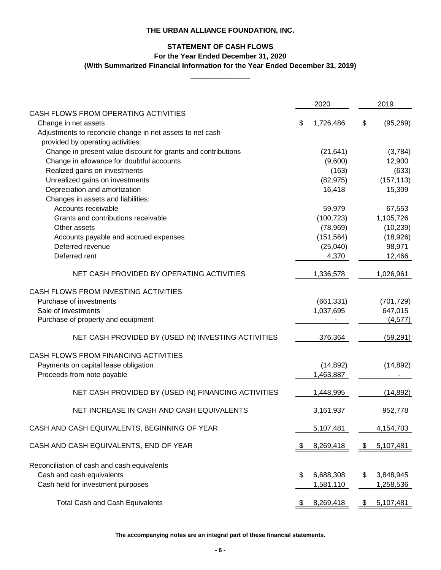# **STATEMENT OF CASH FLOWS For the Year Ended December 31, 2020**

**(With Summarized Financial Information for the Year Ended December 31, 2019)** \_\_\_\_\_\_\_\_\_\_\_\_\_\_\_

|                                                               | 2020            | 2019             |
|---------------------------------------------------------------|-----------------|------------------|
| CASH FLOWS FROM OPERATING ACTIVITIES                          |                 |                  |
| Change in net assets                                          | \$<br>1,726,486 | \$<br>(95, 269)  |
| Adjustments to reconcile change in net assets to net cash     |                 |                  |
| provided by operating activities:                             |                 |                  |
| Change in present value discount for grants and contributions | (21, 641)       | (3,784)          |
| Change in allowance for doubtful accounts                     | (9,600)         | 12,900           |
| Realized gains on investments                                 | (163)           | (633)            |
| Unrealized gains on investments                               | (82, 975)       | (157, 113)       |
| Depreciation and amortization                                 | 16,418          | 15,309           |
| Changes in assets and liabilities:                            |                 |                  |
| Accounts receivable                                           | 59,979          | 67,553           |
| Grants and contributions receivable                           | (100, 723)      | 1,105,726        |
| Other assets                                                  | (78, 969)       | (10, 239)        |
| Accounts payable and accrued expenses                         | (151, 564)      | (18, 926)        |
| Deferred revenue                                              | (25,040)        | 98,971           |
| Deferred rent                                                 | 4,370           | 12,466           |
| NET CASH PROVIDED BY OPERATING ACTIVITIES                     | 1,336,578       | 1,026,961        |
| CASH FLOWS FROM INVESTING ACTIVITIES                          |                 |                  |
| Purchase of investments                                       | (661, 331)      | (701, 729)       |
| Sale of investments                                           | 1,037,695       | 647,015          |
| Purchase of property and equipment                            |                 | (4, 577)         |
| NET CASH PROVIDED BY (USED IN) INVESTING ACTIVITIES           | 376,364         | (59, 291)        |
| CASH FLOWS FROM FINANCING ACTIVITIES                          |                 |                  |
| Payments on capital lease obligation                          | (14, 892)       | (14, 892)        |
| Proceeds from note payable                                    | 1,463,887       |                  |
| NET CASH PROVIDED BY (USED IN) FINANCING ACTIVITIES           | 1,448,995       | (14, 892)        |
| NET INCREASE IN CASH AND CASH EQUIVALENTS                     | 3,161,937       | 952,778          |
| CASH AND CASH EQUIVALENTS, BEGINNING OF YEAR                  | 5,107,481       | 4,154,703        |
| CASH AND CASH EQUIVALENTS, END OF YEAR                        | 8,269,418       | 5,107,481<br>\$. |
| Reconciliation of cash and cash equivalents                   |                 |                  |
| Cash and cash equivalents                                     | \$<br>6,688,308 | 3,848,945<br>\$  |
| Cash held for investment purposes                             | 1,581,110       |                  |
|                                                               |                 | 1,258,536        |
| <b>Total Cash and Cash Equivalents</b>                        | 8,269,418<br>\$ | 5,107,481<br>\$  |

**The accompanying notes are an integral part of these financial statements.**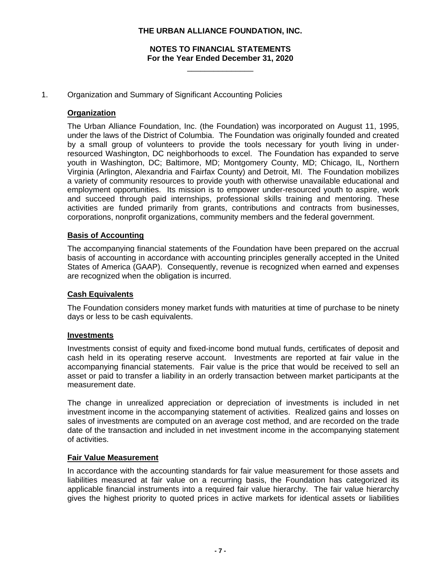#### **NOTES TO FINANCIAL STATEMENTS For the Year Ended December 31, 2020**

\_\_\_\_\_\_\_\_\_\_\_\_\_\_\_

#### 1. Organization and Summary of Significant Accounting Policies

#### **Organization**

The Urban Alliance Foundation, Inc. (the Foundation) was incorporated on August 11, 1995, under the laws of the District of Columbia. The Foundation was originally founded and created by a small group of volunteers to provide the tools necessary for youth living in underresourced Washington, DC neighborhoods to excel. The Foundation has expanded to serve youth in Washington, DC; Baltimore, MD; Montgomery County, MD; Chicago, IL, Northern Virginia (Arlington, Alexandria and Fairfax County) and Detroit, MI. The Foundation mobilizes a variety of community resources to provide youth with otherwise unavailable educational and employment opportunities. Its mission is to empower under-resourced youth to aspire, work and succeed through paid internships, professional skills training and mentoring. These activities are funded primarily from grants, contributions and contracts from businesses, corporations, nonprofit organizations, community members and the federal government.

#### **Basis of Accounting**

The accompanying financial statements of the Foundation have been prepared on the accrual basis of accounting in accordance with accounting principles generally accepted in the United States of America (GAAP). Consequently, revenue is recognized when earned and expenses are recognized when the obligation is incurred.

#### **Cash Equivalents**

The Foundation considers money market funds with maturities at time of purchase to be ninety days or less to be cash equivalents.

#### **Investments**

Investments consist of equity and fixed-income bond mutual funds, certificates of deposit and cash held in its operating reserve account. Investments are reported at fair value in the accompanying financial statements. Fair value is the price that would be received to sell an asset or paid to transfer a liability in an orderly transaction between market participants at the measurement date.

The change in unrealized appreciation or depreciation of investments is included in net investment income in the accompanying statement of activities. Realized gains and losses on sales of investments are computed on an average cost method, and are recorded on the trade date of the transaction and included in net investment income in the accompanying statement of activities.

#### **Fair Value Measurement**

In accordance with the accounting standards for fair value measurement for those assets and liabilities measured at fair value on a recurring basis, the Foundation has categorized its applicable financial instruments into a required fair value hierarchy. The fair value hierarchy gives the highest priority to quoted prices in active markets for identical assets or liabilities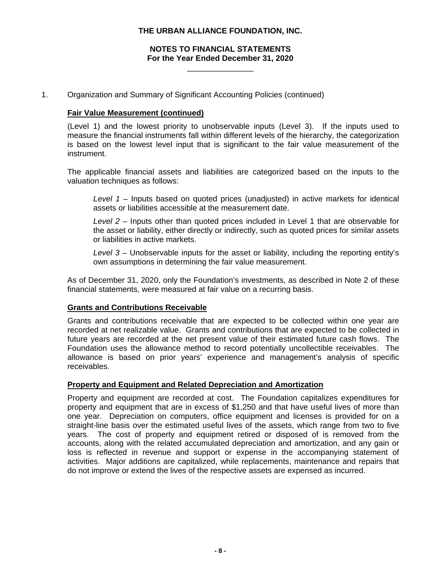#### **NOTES TO FINANCIAL STATEMENTS For the Year Ended December 31, 2020**

\_\_\_\_\_\_\_\_\_\_\_\_\_\_\_

1. Organization and Summary of Significant Accounting Policies (continued)

#### **Fair Value Measurement (continued)**

(Level 1) and the lowest priority to unobservable inputs (Level 3). If the inputs used to measure the financial instruments fall within different levels of the hierarchy, the categorization is based on the lowest level input that is significant to the fair value measurement of the instrument.

The applicable financial assets and liabilities are categorized based on the inputs to the valuation techniques as follows:

*Level 1* – Inputs based on quoted prices (unadjusted) in active markets for identical assets or liabilities accessible at the measurement date.

*Level 2* – Inputs other than quoted prices included in Level 1 that are observable for the asset or liability, either directly or indirectly, such as quoted prices for similar assets or liabilities in active markets.

*Level 3* – Unobservable inputs for the asset or liability, including the reporting entity's own assumptions in determining the fair value measurement.

As of December 31, 2020, only the Foundation's investments, as described in Note 2 of these financial statements, were measured at fair value on a recurring basis.

#### **Grants and Contributions Receivable**

Grants and contributions receivable that are expected to be collected within one year are recorded at net realizable value. Grants and contributions that are expected to be collected in future years are recorded at the net present value of their estimated future cash flows. The Foundation uses the allowance method to record potentially uncollectible receivables. The allowance is based on prior years' experience and management's analysis of specific receivables.

#### **Property and Equipment and Related Depreciation and Amortization**

Property and equipment are recorded at cost. The Foundation capitalizes expenditures for property and equipment that are in excess of \$1,250 and that have useful lives of more than one year. Depreciation on computers, office equipment and licenses is provided for on a straight-line basis over the estimated useful lives of the assets, which range from two to five years. The cost of property and equipment retired or disposed of is removed from the accounts, along with the related accumulated depreciation and amortization, and any gain or loss is reflected in revenue and support or expense in the accompanying statement of activities. Major additions are capitalized, while replacements, maintenance and repairs that do not improve or extend the lives of the respective assets are expensed as incurred.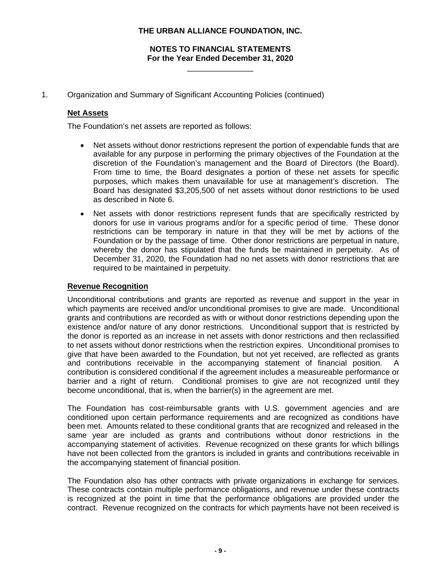#### **NOTES TO FINANCIAL STATEMENTS For the Year Ended December 31, 2020**

\_\_\_\_\_\_\_\_\_\_\_\_\_\_\_

1. Organization and Summary of Significant Accounting Policies (continued)

### **Net Assets**

The Foundation's net assets are reported as follows:

- Net assets without donor restrictions represent the portion of expendable funds that are available for any purpose in performing the primary objectives of the Foundation at the discretion of the Foundation's management and the Board of Directors (the Board). From time to time, the Board designates a portion of these net assets for specific purposes, which makes them unavailable for use at management's discretion. The Board has designated \$3,205,500 of net assets without donor restrictions to be used as described in Note 6.
- Net assets with donor restrictions represent funds that are specifically restricted by donors for use in various programs and/or for a specific period of time. These donor restrictions can be temporary in nature in that they will be met by actions of the Foundation or by the passage of time. Other donor restrictions are perpetual in nature, whereby the donor has stipulated that the funds be maintained in perpetuity. As of December 31, 2020, the Foundation had no net assets with donor restrictions that are required to be maintained in perpetuity.

#### **Revenue Recognition**

Unconditional contributions and grants are reported as revenue and support in the year in which payments are received and/or unconditional promises to give are made. Unconditional grants and contributions are recorded as with or without donor restrictions depending upon the existence and/or nature of any donor restrictions. Unconditional support that is restricted by the donor is reported as an increase in net assets with donor restrictions and then reclassified to net assets without donor restrictions when the restriction expires. Unconditional promises to give that have been awarded to the Foundation, but not yet received, are reflected as grants and contributions receivable in the accompanying statement of financial position. A contribution is considered conditional if the agreement includes a measureable performance or barrier and a right of return. Conditional promises to give are not recognized until they become unconditional, that is, when the barrier(s) in the agreement are met.

The Foundation has cost-reimbursable grants with U.S. government agencies and are conditioned upon certain performance requirements and are recognized as conditions have been met. Amounts related to these conditional grants that are recognized and released in the same year are included as grants and contributions without donor restrictions in the accompanying statement of activities. Revenue recognized on these grants for which billings have not been collected from the grantors is included in grants and contributions receivable in the accompanying statement of financial position.

The Foundation also has other contracts with private organizations in exchange for services. These contracts contain multiple performance obligations, and revenue under these contracts is recognized at the point in time that the performance obligations are provided under the contract. Revenue recognized on the contracts for which payments have not been received is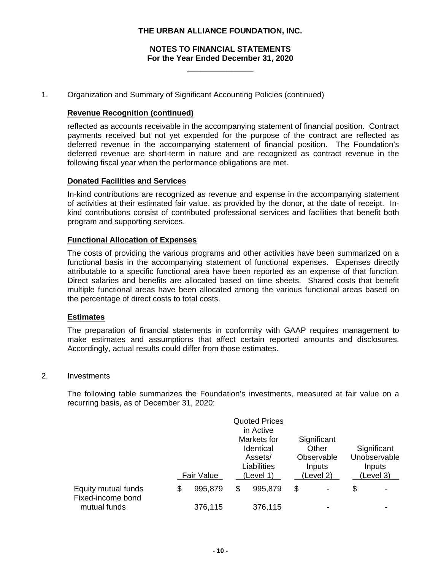#### **NOTES TO FINANCIAL STATEMENTS For the Year Ended December 31, 2020**

\_\_\_\_\_\_\_\_\_\_\_\_\_\_\_

1. Organization and Summary of Significant Accounting Policies (continued)

#### **Revenue Recognition (continued)**

reflected as accounts receivable in the accompanying statement of financial position. Contract payments received but not yet expended for the purpose of the contract are reflected as deferred revenue in the accompanying statement of financial position. The Foundation's deferred revenue are short-term in nature and are recognized as contract revenue in the following fiscal year when the performance obligations are met.

#### **Donated Facilities and Services**

In-kind contributions are recognized as revenue and expense in the accompanying statement of activities at their estimated fair value, as provided by the donor, at the date of receipt. Inkind contributions consist of contributed professional services and facilities that benefit both program and supporting services.

#### **Functional Allocation of Expenses**

The costs of providing the various programs and other activities have been summarized on a functional basis in the accompanying statement of functional expenses. Expenses directly attributable to a specific functional area have been reported as an expense of that function. Direct salaries and benefits are allocated based on time sheets. Shared costs that benefit multiple functional areas have been allocated among the various functional areas based on the percentage of direct costs to total costs.

#### **Estimates**

The preparation of financial statements in conformity with GAAP requires management to make estimates and assumptions that affect certain reported amounts and disclosures. Accordingly, actual results could differ from those estimates.

#### 2. Investments

The following table summarizes the Foundation's investments, measured at fair value on a recurring basis, as of December 31, 2020:

|                                          | Fair Value |         | <b>Quoted Prices</b><br>in Active<br>Markets for<br>Identical<br>Assets/<br>Liabilities<br>(Level 1) |         | Significant<br>Other<br>Observable<br>Inputs<br>(Level 2) |                          | Significant<br>Unobservable<br>Inputs<br>(Level 3) |      |
|------------------------------------------|------------|---------|------------------------------------------------------------------------------------------------------|---------|-----------------------------------------------------------|--------------------------|----------------------------------------------------|------|
| Equity mutual funds<br>Fixed-income bond | \$         | 995,879 | \$                                                                                                   | 995,879 | \$                                                        | $\overline{\phantom{a}}$ | \$                                                 | $\,$ |
| mutual funds                             |            | 376,115 |                                                                                                      | 376,115 |                                                           | -                        |                                                    | -    |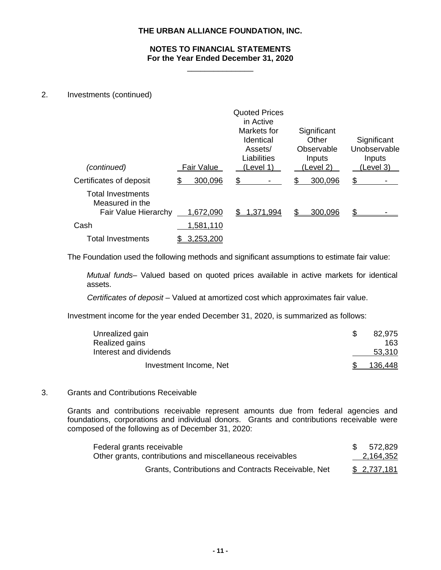#### **NOTES TO FINANCIAL STATEMENTS For the Year Ended December 31, 2020** \_\_\_\_\_\_\_\_\_\_\_\_\_\_\_

#### 2. Investments (continued)

| (continued)                                                                | <b>Fair Value</b> | <b>Quoted Prices</b><br>in Active<br>Markets for<br>Identical<br>Assets/<br>Liabilities<br>(Level 1) | Significant<br>Other<br>Observable<br>Inputs<br>(Level 2) | Significant<br>Unobservable<br>Inputs<br>(Level 3) |
|----------------------------------------------------------------------------|-------------------|------------------------------------------------------------------------------------------------------|-----------------------------------------------------------|----------------------------------------------------|
| Certificates of deposit                                                    | 300,096<br>S      | \$                                                                                                   | 300,096                                                   | \$                                                 |
| <b>Total Investments</b><br>Measured in the<br><b>Fair Value Hierarchy</b> | 1,672,090         | 1,371,994                                                                                            | 300,096                                                   | \$                                                 |
| Cash                                                                       | 1,581,110         |                                                                                                      |                                                           |                                                    |
| <b>Total Investments</b>                                                   | 3,253,200         |                                                                                                      |                                                           |                                                    |

The Foundation used the following methods and significant assumptions to estimate fair value:

*Mutual funds–* Valued based on quoted prices available in active markets for identical assets.

*Certificates of deposit –* Valued at amortized cost which approximates fair value.

Investment income for the year ended December 31, 2020, is summarized as follows:

| Unrealized gain        | 82,975  |
|------------------------|---------|
| Realized gains         | 163     |
| Interest and dividends | 53,310  |
| Investment Income, Net | 136,448 |

#### 3. Grants and Contributions Receivable

Grants and contributions receivable represent amounts due from federal agencies and foundations, corporations and individual donors. Grants and contributions receivable were composed of the following as of December 31, 2020:

| Federal grants receivable                                 | S. | 572,829      |
|-----------------------------------------------------------|----|--------------|
| Other grants, contributions and miscellaneous receivables |    | 2,164,352    |
| Grants, Contributions and Contracts Receivable, Net       |    | \$ 2,737,181 |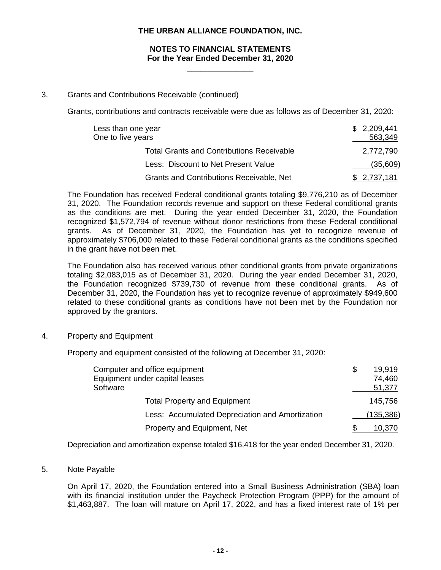#### **NOTES TO FINANCIAL STATEMENTS For the Year Ended December 31, 2020** \_\_\_\_\_\_\_\_\_\_\_\_\_\_\_

#### 3. Grants and Contributions Receivable (continued)

Grants, contributions and contracts receivable were due as follows as of December 31, 2020:

| Less than one year<br>One to five years          | \$2,209,441<br>563,349 |
|--------------------------------------------------|------------------------|
| <b>Total Grants and Contributions Receivable</b> | 2,772,790              |
| Less: Discount to Net Present Value              | (35,609)               |
| <b>Grants and Contributions Receivable, Net</b>  | <u>\$2,737,181</u>     |

The Foundation has received Federal conditional grants totaling \$9,776,210 as of December 31, 2020. The Foundation records revenue and support on these Federal conditional grants as the conditions are met. During the year ended December 31, 2020, the Foundation recognized \$1,572,794 of revenue without donor restrictions from these Federal conditional grants. As of December 31, 2020, the Foundation has yet to recognize revenue of approximately \$706,000 related to these Federal conditional grants as the conditions specified in the grant have not been met.

The Foundation also has received various other conditional grants from private organizations totaling \$2,083,015 as of December 31, 2020. During the year ended December 31, 2020, the Foundation recognized \$739,730 of revenue from these conditional grants. As of December 31, 2020, the Foundation has yet to recognize revenue of approximately \$949,600 related to these conditional grants as conditions have not been met by the Foundation nor approved by the grantors.

4. Property and Equipment

Property and equipment consisted of the following at December 31, 2020:

| Computer and office equipment<br>Equipment under capital leases | S | 19.919<br>74,460 |
|-----------------------------------------------------------------|---|------------------|
| Software                                                        |   | 51,377           |
| <b>Total Property and Equipment</b>                             |   | 145,756          |
| Less: Accumulated Depreciation and Amortization                 |   | (135,386)        |
| Property and Equipment, Net                                     |   | 10.370           |

Depreciation and amortization expense totaled \$16,418 for the year ended December 31, 2020.

5. Note Payable

On April 17, 2020, the Foundation entered into a Small Business Administration (SBA) loan with its financial institution under the Paycheck Protection Program (PPP) for the amount of \$1,463,887. The loan will mature on April 17, 2022, and has a fixed interest rate of 1% per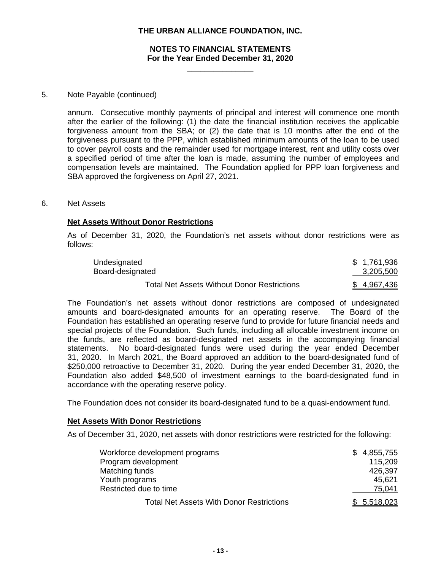#### **NOTES TO FINANCIAL STATEMENTS For the Year Ended December 31, 2020**

\_\_\_\_\_\_\_\_\_\_\_\_\_\_\_

#### 5. Note Payable (continued)

annum. Consecutive monthly payments of principal and interest will commence one month after the earlier of the following: (1) the date the financial institution receives the applicable forgiveness amount from the SBA; or (2) the date that is 10 months after the end of the forgiveness pursuant to the PPP, which established minimum amounts of the loan to be used to cover payroll costs and the remainder used for mortgage interest, rent and utility costs over a specified period of time after the loan is made, assuming the number of employees and compensation levels are maintained. The Foundation applied for PPP loan forgiveness and SBA approved the forgiveness on April 27, 2021.

#### 6. Net Assets

#### **Net Assets Without Donor Restrictions**

As of December 31, 2020, the Foundation's net assets without donor restrictions were as follows:

| Undesignated                                 | \$1,761,936 |
|----------------------------------------------|-------------|
| Board-designated                             | 3,205,500   |
| Total Net Assets Without Donor Restrictions. | \$4.967.436 |

The Foundation's net assets without donor restrictions are composed of undesignated amounts and board-designated amounts for an operating reserve. The Board of the Foundation has established an operating reserve fund to provide for future financial needs and special projects of the Foundation. Such funds, including all allocable investment income on the funds, are reflected as board-designated net assets in the accompanying financial statements. No board-designated funds were used during the year ended December 31, 2020. In March 2021, the Board approved an addition to the board-designated fund of \$250,000 retroactive to December 31, 2020. During the year ended December 31, 2020, the Foundation also added \$48,500 of investment earnings to the board-designated fund in accordance with the operating reserve policy.

The Foundation does not consider its board-designated fund to be a quasi-endowment fund.

#### **Net Assets With Donor Restrictions**

As of December 31, 2020, net assets with donor restrictions were restricted for the following:

| Workforce development programs                  | \$4,855,755 |
|-------------------------------------------------|-------------|
| Program development                             | 115,209     |
| Matching funds                                  | 426.397     |
| Youth programs                                  | 45.621      |
| Restricted due to time                          | 75,041      |
| <b>Total Net Assets With Donor Restrictions</b> | \$5,518,023 |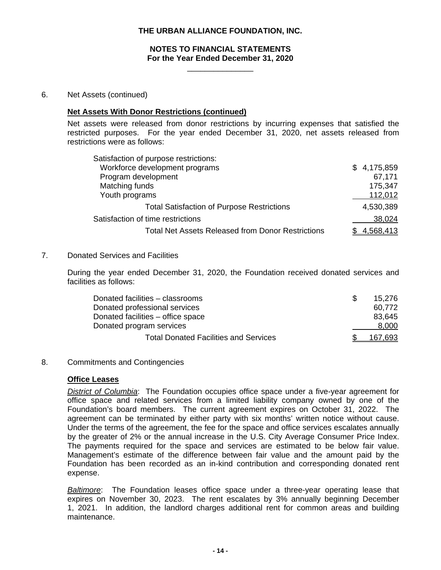#### **NOTES TO FINANCIAL STATEMENTS For the Year Ended December 31, 2020**  \_\_\_\_\_\_\_\_\_\_\_\_\_\_\_

#### 6. Net Assets (continued)

#### **Net Assets With Donor Restrictions (continued)**

Net assets were released from donor restrictions by incurring expenses that satisfied the restricted purposes. For the year ended December 31, 2020, net assets released from restrictions were as follows:

| Satisfaction of purpose restrictions:                    |             |
|----------------------------------------------------------|-------------|
| Workforce development programs                           | \$4,175,859 |
| Program development                                      | 67,171      |
| Matching funds                                           | 175,347     |
| Youth programs                                           | 112,012     |
| <b>Total Satisfaction of Purpose Restrictions</b>        | 4,530,389   |
| Satisfaction of time restrictions                        | 38,024      |
| <b>Total Net Assets Released from Donor Restrictions</b> | 4.568.413   |

7. Donated Services and Facilities

During the year ended December 31, 2020, the Foundation received donated services and facilities as follows:

| Donated facilities - classrooms              | 15.276  |
|----------------------------------------------|---------|
| Donated professional services                | 60.772  |
| Donated facilities – office space            | 83,645  |
| Donated program services                     | 8.000   |
| <b>Total Donated Facilities and Services</b> | 167.693 |

8. Commitments and Contingencies

#### **Office Leases**

*District of Columbia*: The Foundation occupies office space under a five-year agreement for office space and related services from a limited liability company owned by one of the Foundation's board members. The current agreement expires on October 31, 2022. The agreement can be terminated by either party with six months' written notice without cause. Under the terms of the agreement, the fee for the space and office services escalates annually by the greater of 2% or the annual increase in the U.S. City Average Consumer Price Index. The payments required for the space and services are estimated to be below fair value. Management's estimate of the difference between fair value and the amount paid by the Foundation has been recorded as an in-kind contribution and corresponding donated rent expense.

*Baltimore*: The Foundation leases office space under a three-year operating lease that expires on November 30, 2023. The rent escalates by 3% annually beginning December 1, 2021. In addition, the landlord charges additional rent for common areas and building maintenance.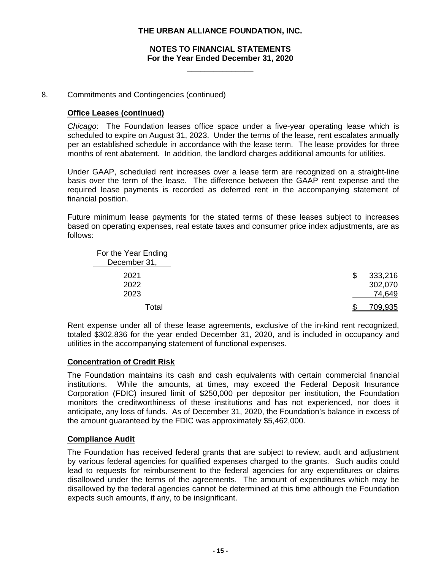#### **NOTES TO FINANCIAL STATEMENTS For the Year Ended December 31, 2020**

\_\_\_\_\_\_\_\_\_\_\_\_\_\_\_

#### 8. Commitments and Contingencies (continued)

#### **Office Leases (continued)**

*Chicago*: The Foundation leases office space under a five-year operating lease which is scheduled to expire on August 31, 2023. Under the terms of the lease, rent escalates annually per an established schedule in accordance with the lease term. The lease provides for three months of rent abatement. In addition, the landlord charges additional amounts for utilities.

Under GAAP, scheduled rent increases over a lease term are recognized on a straight-line basis over the term of the lease. The difference between the GAAP rent expense and the required lease payments is recorded as deferred rent in the accompanying statement of financial position.

Future minimum lease payments for the stated terms of these leases subject to increases based on operating expenses, real estate taxes and consumer price index adjustments, are as follows:

| For the Year Ending<br>December 31, |                                    |  |
|-------------------------------------|------------------------------------|--|
| 2021<br>2022<br>2023                | 333,216<br>\$<br>302,070<br>74,649 |  |
| Total                               | <u>709,935</u>                     |  |

Rent expense under all of these lease agreements, exclusive of the in-kind rent recognized, totaled \$302,836 for the year ended December 31, 2020, and is included in occupancy and utilities in the accompanying statement of functional expenses.

#### **Concentration of Credit Risk**

The Foundation maintains its cash and cash equivalents with certain commercial financial institutions. While the amounts, at times, may exceed the Federal Deposit Insurance Corporation (FDIC) insured limit of \$250,000 per depositor per institution, the Foundation monitors the creditworthiness of these institutions and has not experienced, nor does it anticipate, any loss of funds. As of December 31, 2020, the Foundation's balance in excess of the amount guaranteed by the FDIC was approximately \$5,462,000.

#### **Compliance Audit**

The Foundation has received federal grants that are subject to review, audit and adjustment by various federal agencies for qualified expenses charged to the grants. Such audits could lead to requests for reimbursement to the federal agencies for any expenditures or claims disallowed under the terms of the agreements. The amount of expenditures which may be disallowed by the federal agencies cannot be determined at this time although the Foundation expects such amounts, if any, to be insignificant.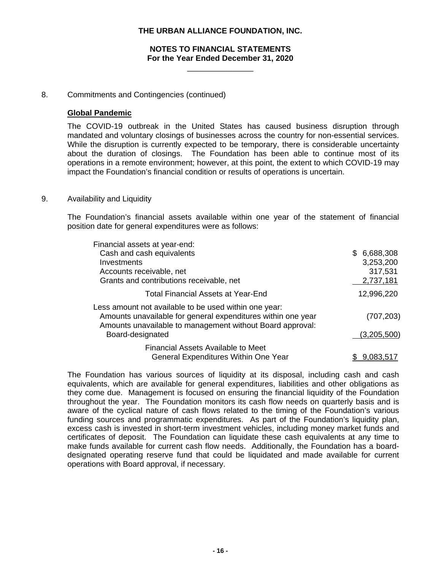#### **NOTES TO FINANCIAL STATEMENTS For the Year Ended December 31, 2020**

\_\_\_\_\_\_\_\_\_\_\_\_\_\_\_

#### 8. Commitments and Contingencies (continued)

#### **Global Pandemic**

The COVID-19 outbreak in the United States has caused business disruption through mandated and voluntary closings of businesses across the country for non-essential services. While the disruption is currently expected to be temporary, there is considerable uncertainty about the duration of closings. The Foundation has been able to continue most of its operations in a remote environment; however, at this point, the extent to which COVID-19 may impact the Foundation's financial condition or results of operations is uncertain.

#### 9. Availability and Liquidity

The Foundation's financial assets available within one year of the statement of financial position date for general expenditures were as follows:

| Financial assets at year-end:                                                                                                                                                      |             |
|------------------------------------------------------------------------------------------------------------------------------------------------------------------------------------|-------------|
| Cash and cash equivalents                                                                                                                                                          | \$6,688,308 |
| Investments                                                                                                                                                                        | 3,253,200   |
| Accounts receivable, net                                                                                                                                                           | 317,531     |
| Grants and contributions receivable, net                                                                                                                                           | 2,737,181   |
| <b>Total Financial Assets at Year-End</b>                                                                                                                                          | 12,996,220  |
| Less amount not available to be used within one year:<br>Amounts unavailable for general expenditures within one year<br>Amounts unavailable to management without Board approval: | (707, 203)  |
| Board-designated                                                                                                                                                                   | (3,205,500) |
| Financial Assets Available to Meet<br>General Expenditures Within One Year                                                                                                         | 9,083,517   |

The Foundation has various sources of liquidity at its disposal, including cash and cash equivalents, which are available for general expenditures, liabilities and other obligations as they come due. Management is focused on ensuring the financial liquidity of the Foundation throughout the year. The Foundation monitors its cash flow needs on quarterly basis and is aware of the cyclical nature of cash flows related to the timing of the Foundation's various funding sources and programmatic expenditures. As part of the Foundation's liquidity plan, excess cash is invested in short-term investment vehicles, including money market funds and certificates of deposit. The Foundation can liquidate these cash equivalents at any time to make funds available for current cash flow needs. Additionally, the Foundation has a boarddesignated operating reserve fund that could be liquidated and made available for current operations with Board approval, if necessary.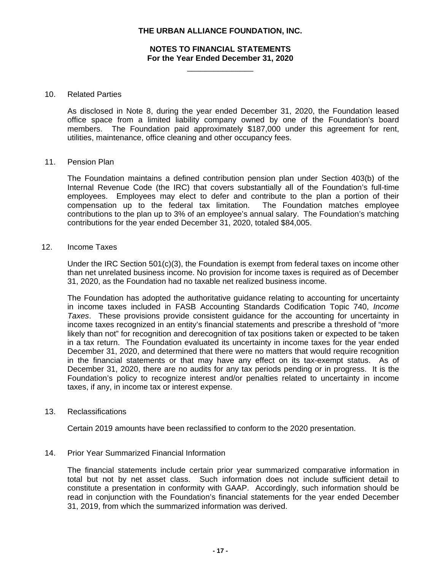#### **NOTES TO FINANCIAL STATEMENTS For the Year Ended December 31, 2020**

\_\_\_\_\_\_\_\_\_\_\_\_\_\_\_

#### 10. Related Parties

As disclosed in Note 8, during the year ended December 31, 2020, the Foundation leased office space from a limited liability company owned by one of the Foundation's board members. The Foundation paid approximately \$187,000 under this agreement for rent, utilities, maintenance, office cleaning and other occupancy fees.

#### 11. Pension Plan

The Foundation maintains a defined contribution pension plan under Section 403(b) of the Internal Revenue Code (the IRC) that covers substantially all of the Foundation's full-time employees. Employees may elect to defer and contribute to the plan a portion of their compensation up to the federal tax limitation. The Foundation matches employee contributions to the plan up to 3% of an employee's annual salary. The Foundation's matching contributions for the year ended December 31, 2020, totaled \$84,005.

#### 12. Income Taxes

Under the IRC Section 501(c)(3), the Foundation is exempt from federal taxes on income other than net unrelated business income. No provision for income taxes is required as of December 31, 2020, as the Foundation had no taxable net realized business income.

The Foundation has adopted the authoritative guidance relating to accounting for uncertainty in income taxes included in FASB Accounting Standards Codification Topic 740, *Income Taxes*. These provisions provide consistent guidance for the accounting for uncertainty in income taxes recognized in an entity's financial statements and prescribe a threshold of "more likely than not" for recognition and derecognition of tax positions taken or expected to be taken in a tax return. The Foundation evaluated its uncertainty in income taxes for the year ended December 31, 2020, and determined that there were no matters that would require recognition in the financial statements or that may have any effect on its tax-exempt status. As of December 31, 2020, there are no audits for any tax periods pending or in progress. It is the Foundation's policy to recognize interest and/or penalties related to uncertainty in income taxes, if any, in income tax or interest expense.

#### 13. Reclassifications

Certain 2019 amounts have been reclassified to conform to the 2020 presentation.

#### 14. Prior Year Summarized Financial Information

The financial statements include certain prior year summarized comparative information in total but not by net asset class. Such information does not include sufficient detail to constitute a presentation in conformity with GAAP. Accordingly, such information should be read in conjunction with the Foundation's financial statements for the year ended December 31, 2019, from which the summarized information was derived.